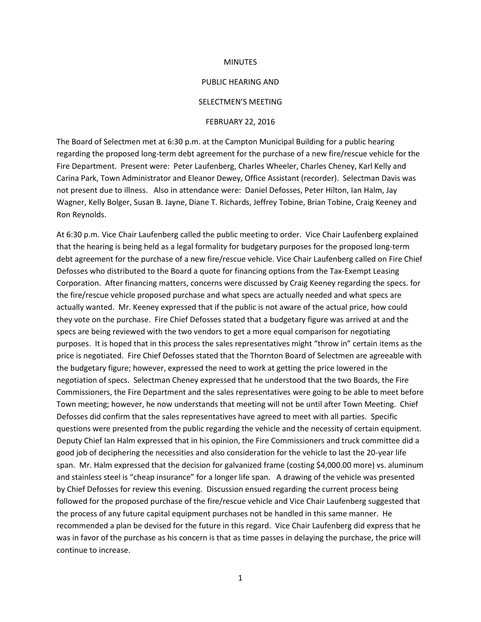#### **MINUTES**

#### PUBLIC HEARING AND

### SELECTMEN'S MEETING

#### FEBRUARY 22, 2016

The Board of Selectmen met at 6:30 p.m. at the Campton Municipal Building for a public hearing regarding the proposed long-term debt agreement for the purchase of a new fire/rescue vehicle for the Fire Department. Present were: Peter Laufenberg, Charles Wheeler, Charles Cheney, Karl Kelly and Carina Park, Town Administrator and Eleanor Dewey, Office Assistant (recorder). Selectman Davis was not present due to illness. Also in attendance were: Daniel Defosses, Peter Hilton, Ian Halm, Jay Wagner, Kelly Bolger, Susan B. Jayne, Diane T. Richards, Jeffrey Tobine, Brian Tobine, Craig Keeney and Ron Reynolds.

At 6:30 p.m. Vice Chair Laufenberg called the public meeting to order. Vice Chair Laufenberg explained that the hearing is being held as a legal formality for budgetary purposes for the proposed long-term debt agreement for the purchase of a new fire/rescue vehicle. Vice Chair Laufenberg called on Fire Chief Defosses who distributed to the Board a quote for financing options from the Tax-Exempt Leasing Corporation. After financing matters, concerns were discussed by Craig Keeney regarding the specs. for the fire/rescue vehicle proposed purchase and what specs are actually needed and what specs are actually wanted. Mr. Keeney expressed that if the public is not aware of the actual price, how could they vote on the purchase. Fire Chief Defosses stated that a budgetary figure was arrived at and the specs are being reviewed with the two vendors to get a more equal comparison for negotiating purposes. It is hoped that in this process the sales representatives might "throw in" certain items as the price is negotiated. Fire Chief Defosses stated that the Thornton Board of Selectmen are agreeable with the budgetary figure; however, expressed the need to work at getting the price lowered in the negotiation of specs. Selectman Cheney expressed that he understood that the two Boards, the Fire Commissioners, the Fire Department and the sales representatives were going to be able to meet before Town meeting; however, he now understands that meeting will not be until after Town Meeting. Chief Defosses did confirm that the sales representatives have agreed to meet with all parties. Specific questions were presented from the public regarding the vehicle and the necessity of certain equipment. Deputy Chief Ian Halm expressed that in his opinion, the Fire Commissioners and truck committee did a good job of deciphering the necessities and also consideration for the vehicle to last the 20-year life span. Mr. Halm expressed that the decision for galvanized frame (costing \$4,000.00 more) vs. aluminum and stainless steel is "cheap insurance" for a longer life span. A drawing of the vehicle was presented by Chief Defosses for review this evening. Discussion ensued regarding the current process being followed for the proposed purchase of the fire/rescue vehicle and Vice Chair Laufenberg suggested that the process of any future capital equipment purchases not be handled in this same manner. He recommended a plan be devised for the future in this regard. Vice Chair Laufenberg did express that he was in favor of the purchase as his concern is that as time passes in delaying the purchase, the price will continue to increase.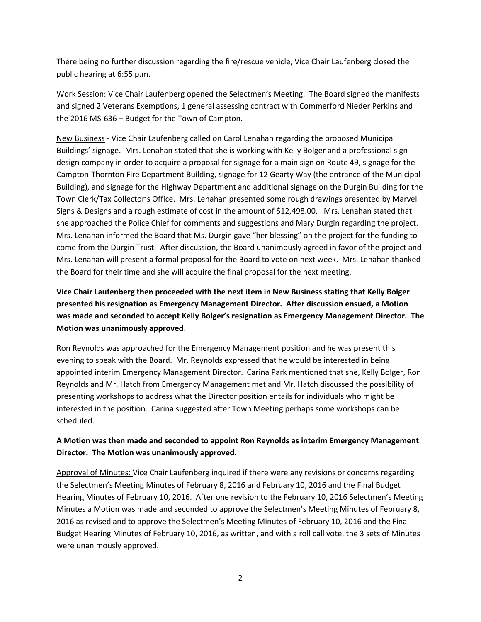There being no further discussion regarding the fire/rescue vehicle, Vice Chair Laufenberg closed the public hearing at 6:55 p.m.

Work Session: Vice Chair Laufenberg opened the Selectmen's Meeting. The Board signed the manifests and signed 2 Veterans Exemptions, 1 general assessing contract with Commerford Nieder Perkins and the 2016 MS-636 – Budget for the Town of Campton.

New Business - Vice Chair Laufenberg called on Carol Lenahan regarding the proposed Municipal Buildings' signage. Mrs. Lenahan stated that she is working with Kelly Bolger and a professional sign design company in order to acquire a proposal for signage for a main sign on Route 49, signage for the Campton-Thornton Fire Department Building, signage for 12 Gearty Way (the entrance of the Municipal Building), and signage for the Highway Department and additional signage on the Durgin Building for the Town Clerk/Tax Collector's Office. Mrs. Lenahan presented some rough drawings presented by Marvel Signs & Designs and a rough estimate of cost in the amount of \$12,498.00. Mrs. Lenahan stated that she approached the Police Chief for comments and suggestions and Mary Durgin regarding the project. Mrs. Lenahan informed the Board that Ms. Durgin gave "her blessing" on the project for the funding to come from the Durgin Trust. After discussion, the Board unanimously agreed in favor of the project and Mrs. Lenahan will present a formal proposal for the Board to vote on next week. Mrs. Lenahan thanked the Board for their time and she will acquire the final proposal for the next meeting.

# **Vice Chair Laufenberg then proceeded with the next item in New Business stating that Kelly Bolger presented his resignation as Emergency Management Director. After discussion ensued, a Motion was made and seconded to accept Kelly Bolger's resignation as Emergency Management Director. The Motion was unanimously approved**.

Ron Reynolds was approached for the Emergency Management position and he was present this evening to speak with the Board. Mr. Reynolds expressed that he would be interested in being appointed interim Emergency Management Director. Carina Park mentioned that she, Kelly Bolger, Ron Reynolds and Mr. Hatch from Emergency Management met and Mr. Hatch discussed the possibility of presenting workshops to address what the Director position entails for individuals who might be interested in the position. Carina suggested after Town Meeting perhaps some workshops can be scheduled.

## **A Motion was then made and seconded to appoint Ron Reynolds as interim Emergency Management Director. The Motion was unanimously approved.**

Approval of Minutes: Vice Chair Laufenberg inquired if there were any revisions or concerns regarding the Selectmen's Meeting Minutes of February 8, 2016 and February 10, 2016 and the Final Budget Hearing Minutes of February 10, 2016. After one revision to the February 10, 2016 Selectmen's Meeting Minutes a Motion was made and seconded to approve the Selectmen's Meeting Minutes of February 8, 2016 as revised and to approve the Selectmen's Meeting Minutes of February 10, 2016 and the Final Budget Hearing Minutes of February 10, 2016, as written, and with a roll call vote, the 3 sets of Minutes were unanimously approved.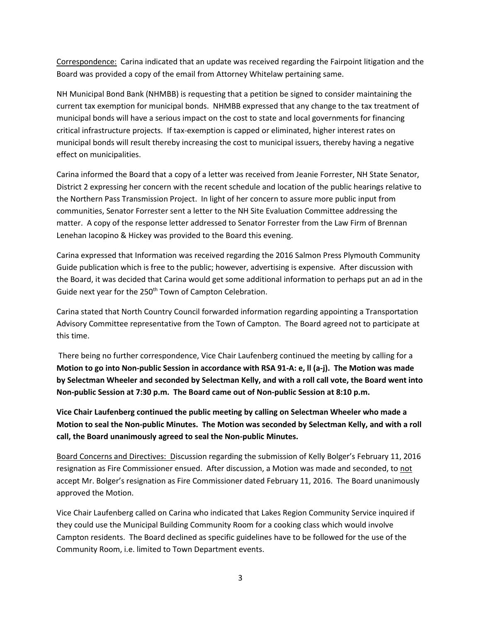Correspondence: Carina indicated that an update was received regarding the Fairpoint litigation and the Board was provided a copy of the email from Attorney Whitelaw pertaining same.

NH Municipal Bond Bank (NHMBB) is requesting that a petition be signed to consider maintaining the current tax exemption for municipal bonds. NHMBB expressed that any change to the tax treatment of municipal bonds will have a serious impact on the cost to state and local governments for financing critical infrastructure projects. If tax-exemption is capped or eliminated, higher interest rates on municipal bonds will result thereby increasing the cost to municipal issuers, thereby having a negative effect on municipalities.

Carina informed the Board that a copy of a letter was received from Jeanie Forrester, NH State Senator, District 2 expressing her concern with the recent schedule and location of the public hearings relative to the Northern Pass Transmission Project. In light of her concern to assure more public input from communities, Senator Forrester sent a letter to the NH Site Evaluation Committee addressing the matter. A copy of the response letter addressed to Senator Forrester from the Law Firm of Brennan Lenehan Iacopino & Hickey was provided to the Board this evening.

Carina expressed that Information was received regarding the 2016 Salmon Press Plymouth Community Guide publication which is free to the public; however, advertising is expensive. After discussion with the Board, it was decided that Carina would get some additional information to perhaps put an ad in the Guide next year for the 250<sup>th</sup> Town of Campton Celebration.

Carina stated that North Country Council forwarded information regarding appointing a Transportation Advisory Committee representative from the Town of Campton. The Board agreed not to participate at this time.

There being no further correspondence, Vice Chair Laufenberg continued the meeting by calling for a **Motion to go into Non-public Session in accordance with RSA 91-A: e, ll (a-j). The Motion was made by Selectman Wheeler and seconded by Selectman Kelly, and with a roll call vote, the Board went into Non-public Session at 7:30 p.m. The Board came out of Non-public Session at 8:10 p.m.**

**Vice Chair Laufenberg continued the public meeting by calling on Selectman Wheeler who made a Motion to seal the Non-public Minutes. The Motion was seconded by Selectman Kelly, and with a roll call, the Board unanimously agreed to seal the Non-public Minutes.** 

Board Concerns and Directives: Discussion regarding the submission of Kelly Bolger's February 11, 2016 resignation as Fire Commissioner ensued. After discussion, a Motion was made and seconded, to not accept Mr. Bolger's resignation as Fire Commissioner dated February 11, 2016. The Board unanimously approved the Motion.

Vice Chair Laufenberg called on Carina who indicated that Lakes Region Community Service inquired if they could use the Municipal Building Community Room for a cooking class which would involve Campton residents. The Board declined as specific guidelines have to be followed for the use of the Community Room, i.e. limited to Town Department events.